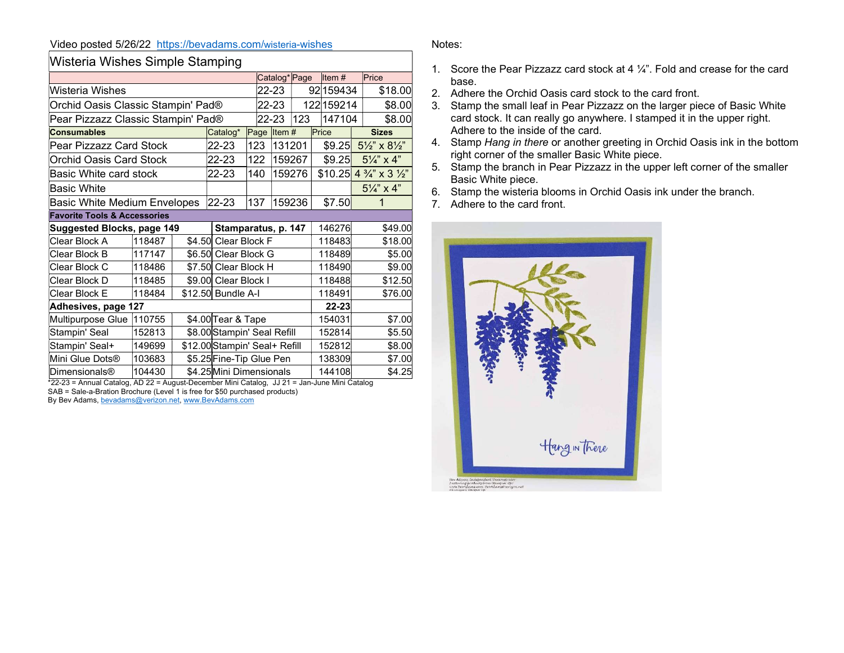## Video posted 5/26/22 https://bevadams.com/wisteria-wishes

| Wisteria Wishes Simple Stamping         |        |                    |                                    |                                         |              |               |        |                                            |                                     |        |              |
|-----------------------------------------|--------|--------------------|------------------------------------|-----------------------------------------|--------------|---------------|--------|--------------------------------------------|-------------------------------------|--------|--------------|
|                                         |        |                    |                                    |                                         |              | Catalog* Page |        |                                            | Item#                               |        | Price        |
| Wisteria Wishes                         |        |                    |                                    |                                         | 22-23        |               |        |                                            | 92 159434                           |        | \$18.00      |
| Orchid Oasis Classic Stampin' Pad®      |        |                    |                                    |                                         | 22-23        |               |        | 122 159 214                                |                                     | \$8.00 |              |
| Pear Pizzazz Classic Stampin' Pad®      |        |                    |                                    |                                         | 123<br>22-23 |               |        | 147104                                     |                                     | \$8.00 |              |
| <b>Consumables</b>                      |        |                    | Catalog*                           |                                         |              | Page Item#    |        |                                            | Price                               |        | <b>Sizes</b> |
| Pear Pizzazz Card Stock                 | 22-23  | 123                |                                    | 131201                                  |              |               | \$9.25 |                                            | $5\frac{1}{2}$ " x $8\frac{1}{2}$ " |        |              |
| Orchid Oasis Card Stock                 | 22-23  | 122                |                                    | 159267                                  |              |               | \$9.25 | $5\frac{1}{4}$ x 4"                        |                                     |        |              |
| Basic White card stock                  | 22-23  | 140                |                                    |                                         | 159276       |               |        | $$10.25$ 4 $\frac{3}{4}$ x 3 $\frac{1}{2}$ |                                     |        |              |
| <b>Basic White</b>                      |        |                    |                                    |                                         |              |               |        |                                            | $5\frac{1}{4}$ x 4"                 |        |              |
| <b>Basic White Medium Envelopes</b>     | 22-23  | 137                |                                    | 159236                                  |              |               | \$7.50 |                                            | 1                                   |        |              |
| <b>Favorite Tools &amp; Accessories</b> |        |                    |                                    |                                         |              |               |        |                                            |                                     |        |              |
| <b>Suggested Blocks, page 149</b>       |        |                    |                                    | Stamparatus, p. 147                     |              |               |        |                                            |                                     | 146276 | \$49.00      |
| Clear Block A                           | 118487 |                    |                                    | \$4.50 Clear Block F                    |              |               |        |                                            | 118483                              |        | \$18.00      |
| Clear Block B                           | 117147 |                    |                                    | \$6.50 Clear Block G                    |              |               |        |                                            | 118489                              |        | \$5.00       |
| Clear Block C                           | 118486 |                    |                                    | \$7.50 Clear Block H                    |              |               |        |                                            | 118490                              |        | \$9.00       |
| Clear Block D                           | 118485 |                    | \$9.00 Clear Block I               |                                         |              |               |        |                                            | 118488                              |        | \$12.50      |
| Clear Block E                           | 118484 |                    |                                    | \$12.50 Bundle A-I                      |              |               |        |                                            | 118491                              |        | \$76.00      |
| Adhesives, page 127                     |        |                    |                                    |                                         |              |               |        |                                            | $22 - 23$                           |        |              |
| Multipurpose Glue                       | 110755 | \$4.00 Tear & Tape |                                    |                                         |              |               |        |                                            | 154031                              |        | \$7.00       |
| Stampin' Seal                           | 152813 |                    |                                    | \$8.00 Stampin' Seal Refill             |              |               |        | 152814                                     |                                     | \$5.50 |              |
| Stampin' Seal+                          | 149699 |                    |                                    | \$12.00 Stampin' Seal+ Refill<br>152812 |              |               |        |                                            |                                     | \$8.00 |              |
| Mini Glue Dots <sup>®</sup>             | 103683 |                    | \$5.25 Fine-Tip Glue Pen<br>138309 |                                         |              |               |        |                                            | \$7.00                              |        |              |
| <b>Dimensionals®</b>                    | 104430 |                    |                                    | \$4.25 Mini Dimensionals<br>144108      |              |               |        |                                            |                                     | \$4.25 |              |

\*22-23 = Annual Catalog, AD 22 = August-December Mini Catalog, JJ 21 = Jan-June Mini Catalog SAB = Sale-a-Bration Brochure (Level 1 is free for \$50 purchased products)

By Bev Adams, bevadams@verizon.net, www.BevAdams.com

## Notes:

- 1. Score the Pear Pizzazz card stock at 4  $\frac{1}{4}$ . Fold and crease for the card base.
- 2. Adhere the Orchid Oasis card stock to the card front.
- 3. Stamp the small leaf in Pear Pizzazz on the larger piece of Basic White card stock. It can really go anywhere. I stamped it in the upper right. Adhere to the inside of the card.
- 4. Stamp Hang in there or another greeting in Orchid Oasis ink in the bottom right corner of the smaller Basic White piece.
- 5. Stamp the branch in Pear Pizzazz in the upper left corner of the smaller Basic White piece.
- 6. Stamp the wisteria blooms in Orchid Oasis ink under the branch.
- 7. Adhere to the card front.